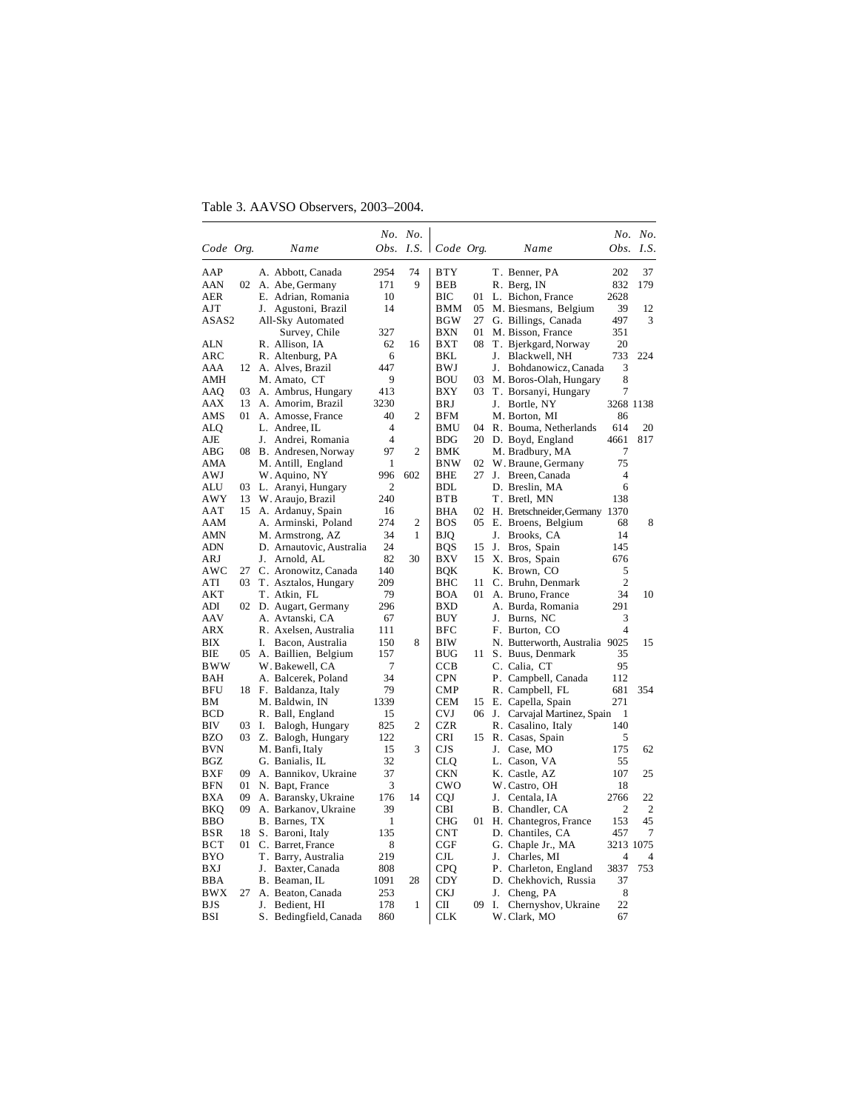Table 3. AAVSO Observers, 2003–2004.

|                   |    |                                        |                | No. No.        |                             |      |          |                                  |                | No. No.               |
|-------------------|----|----------------------------------------|----------------|----------------|-----------------------------|------|----------|----------------------------------|----------------|-----------------------|
| Code Org.         |    | Name                                   |                |                | Obs. I.S. $\vert$ Code Org. |      |          | Name                             | Obs.           | I.S.                  |
| AAP               |    | A. Abbott, Canada                      | 2954           | 74             | BTY                         |      |          | T. Benner, PA                    | 202            | 37                    |
| <b>AAN</b>        | 02 | A. Abe, Germany                        | 171            | 9              | <b>BEB</b>                  |      |          | R. Berg, IN                      | 832            | 179                   |
| <b>AER</b>        |    | E. Adrian, Romania                     | 10             |                | ВIС                         | 01   |          | L. Bichon, France                | 2628           |                       |
| AJT               |    | J.<br>Agustoni, Brazil                 | 14             |                | BMM                         | 05   |          | M. Biesmans, Belgium             | 39             | 12                    |
| ASAS2             |    | All-Sky Automated                      |                |                | <b>BGW</b>                  | 27   |          | G. Billings, Canada              | 497            | 3                     |
|                   |    | Survey, Chile                          | 327            |                | BXN                         | 01   |          | M. Bisson, France                | 351            |                       |
| <b>ALN</b>        |    | R. Allison, IA                         | 62             | 16             | <b>BXT</b>                  | 08   |          | T. Bjerkgard, Norway             | 20             |                       |
| ARC               |    | R. Altenburg, PA                       | 6              |                | BKL                         |      |          | J. Blackwell, NH                 | 733            | 224                   |
| AAA               | 12 | A. Alves, Brazil                       | 447            |                | BWJ                         |      | J.       | Bohdanowicz, Canada              | 3              |                       |
| AMH               |    | M. Amato, CT                           | 9              |                | <b>BOU</b>                  | 03   |          | M. Boros-Olah, Hungary           | 8              |                       |
| AAQ               | 03 | A. Ambrus, Hungary                     | 413            |                | <b>BXY</b>                  | 03   |          | T. Borsanyi, Hungary             | 7              |                       |
| AAX               | 13 | A. Amorim, Brazil                      | 3230           |                | BRJ                         |      |          | J. Bortle, NY                    | 3268 1138      |                       |
| AMS               | 01 | A. Amosse, France                      | 40             | 2              | <b>BFM</b>                  |      |          | M. Borton, MI                    | 86             |                       |
| <b>ALQ</b>        |    | L. Andree, IL                          | 4              |                | <b>BMU</b>                  | 04   |          | R. Bouma, Netherlands            | 614            | 20                    |
| AJE               |    | J. Andrei, Romania                     | $\overline{4}$ |                | <b>BDG</b>                  | 20   |          | D. Boyd, England                 | 4661           | 817                   |
| ABG               |    | 08 B. Andresen, Norway                 | 97             | 2              | BMK                         |      |          | M. Bradbury, MA                  | 7              |                       |
| AMA               |    | M. Antill, England                     | 1              |                | <b>BNW</b>                  | 02   |          | W. Braune, Germany               | 75             |                       |
| AWJ               |    | W. Aquino, NY                          | 996            | 602            | BHE                         | 27   | J.       | Breen, Canada                    | $\overline{4}$ |                       |
| ALU               | 03 | L. Aranyi, Hungary                     | $\overline{c}$ |                | BDL                         |      |          | D. Breslin, MA                   | 6              |                       |
| AWY               | 13 | W. Araujo, Brazil                      | 240            |                | <b>BTB</b>                  |      |          | T. Bretl, MN                     | 138            |                       |
| AAT               | 15 | A. Ardanuy, Spain                      | 16             |                | <b>BHA</b>                  | 02   |          | H. Bretschneider, Germany 1370   |                |                       |
| AAM               |    | A. Arminski, Poland                    | 274            | $\overline{c}$ | <b>BOS</b>                  | 05   |          | E. Broens, Belgium               | 68             | 8                     |
| AMN               |    | M. Armstrong, AZ                       | 34             | 1              | BJQ                         |      | J.       | Brooks, CA                       | 14             |                       |
| ADN               |    | D. Arnautovic, Australia               | 24             |                | BQS                         | 15   | J.       | Bros, Spain                      | 145            |                       |
| ARJ               |    | J. Arnold, AL                          | 82             | 30             | BXV                         | 15   |          | X. Bros, Spain                   | 676            |                       |
| AWC               | 27 | C. Aronowitz, Canada                   | 140            |                | BQK                         |      |          | K. Brown, CO                     | 5              |                       |
| ATI               | 03 | T. Asztalos, Hungary                   | 209            |                | BHC                         | 11   |          | C. Bruhn, Denmark                | $\overline{c}$ |                       |
| AKT               |    | T. Atkin, FL                           | 79             |                | BOA                         | 01   |          | A. Bruno, France                 | 34             | 10                    |
| ADI               | 02 | D. Augart, Germany                     | 296            |                | <b>BXD</b>                  |      |          | A. Burda, Romania                | 291            |                       |
| AAV               |    | A. Avtanski, CA                        | 67             |                | BUY                         |      |          | J. Burns, NC                     | 3              |                       |
| <b>ARX</b>        |    | R. Axelsen, Australia                  | 111            |                | BFC                         |      |          | F. Burton, CO                    | 4              |                       |
| ВIХ               |    | I.<br>Bacon, Australia                 | 150            | 8              | BIW                         |      |          | N. Butterworth, Australia 9025   |                | 15                    |
| BIE               | 05 | A. Baillien, Belgium                   | 157            |                | <b>BUG</b>                  | 11 - |          | S. Buus, Denmark                 | 35             |                       |
| <b>BWW</b>        |    | W. Bakewell, CA                        | 7              |                | <b>CCB</b>                  |      |          | C. Calia, CT                     | 95             |                       |
| <b>BAH</b>        |    | A. Balcerek, Poland                    | 34             |                | <b>CPN</b>                  |      |          | P. Campbell, Canada              | 112            |                       |
| <b>BFU</b>        |    | 18 F. Baldanza, Italy                  | 79             |                | <b>CMP</b>                  |      |          | R. Campbell, FL                  | 681            | 354                   |
| BМ                |    | M. Baldwin, IN                         | 1339           |                | <b>CEM</b>                  | 15   |          | E. Capella, Spain                | 271            |                       |
| <b>BCD</b>        |    | R. Ball, England                       | 15             |                | <b>CVJ</b>                  |      | 06 J.    | Carvajal Martinez, Spain         | 1              |                       |
| BIV               | 03 | Ι.<br>Balogh, Hungary                  | 825            | 2              | <b>CZR</b>                  |      |          | R. Casalino, Italy               | 140            |                       |
| BZO               | 03 | Z. Balogh, Hungary                     | 122            |                | CRI                         | 15   |          | R. Casas, Spain                  | 5              |                       |
| <b>BVN</b>        |    | M. Banfi, Italy                        | 15             | 3              | CJS                         |      |          | J. Case, MO                      | 175            | 62                    |
| BGZ               |    | G. Banialis, IL                        | 32             |                | CLQ                         |      |          | L. Cason, VA                     | 55             |                       |
| <b>BXF</b>        | 09 | A. Bannikov, Ukraine                   | 37             |                | <b>CKN</b>                  |      |          | K. Castle, AZ                    | 107            | 25                    |
| <b>BFN</b>        | 01 | N. Bapt, France                        | 3              |                | $_{\rm CWO}$                |      |          | W. Castro, OH                    | 18             |                       |
| <b>BXA</b>        | 09 | A. Baransky, Ukraine                   | 176            | 14             | <b>CQJ</b>                  |      | J.       | Centala, IA                      | 2766           | 22                    |
| BKQ               | 09 | A. Barkanov, Ukraine                   | 39             |                | CBI                         |      |          | B. Chandler, CA                  | $\overline{c}$ | $\overline{2}$        |
| <b>BBO</b>        |    | B. Barnes, TX                          | 1              |                | <b>CHG</b>                  | 01   |          | H. Chantegros, France            | 153            | 45                    |
| BSR               | 18 | S. Baroni, Italy                       | 135            |                | <b>CNT</b>                  |      |          | D. Chantiles, CA                 | 457            | 7                     |
| <b>BCT</b>        | 01 | C. Barret, France                      | 8              |                | CGF                         |      |          | G. Chaple Jr., MA                | 3213 1075      |                       |
| BYO<br>BXJ        |    | T. Barry, Australia                    | 219<br>808     |                | CJL                         |      | J.       | Charles, MI                      | 4<br>3837      | $\overline{4}$<br>753 |
|                   |    | Baxter, Canada<br>J.                   |                |                | <b>CPQ</b>                  |      |          | P. Charleton, England            | 37             |                       |
| BBA               | 27 | B. Beaman, IL                          | 1091           | 28             | CDY                         |      |          | D. Chekhovich, Russia            |                |                       |
| BWX<br><b>BJS</b> |    | A. Beaton, Canada<br>J.<br>Bedient, HI | 253<br>178     | 1              | CKJ<br>CП                   | 09   | J.<br>Ι. | Cheng, PA<br>Chernyshov, Ukraine | 8<br>22        |                       |
| BSI               |    | S. Bedingfield, Canada                 | 860            |                | <b>CLK</b>                  |      |          | W. Clark, MO                     | 67             |                       |
|                   |    |                                        |                |                |                             |      |          |                                  |                |                       |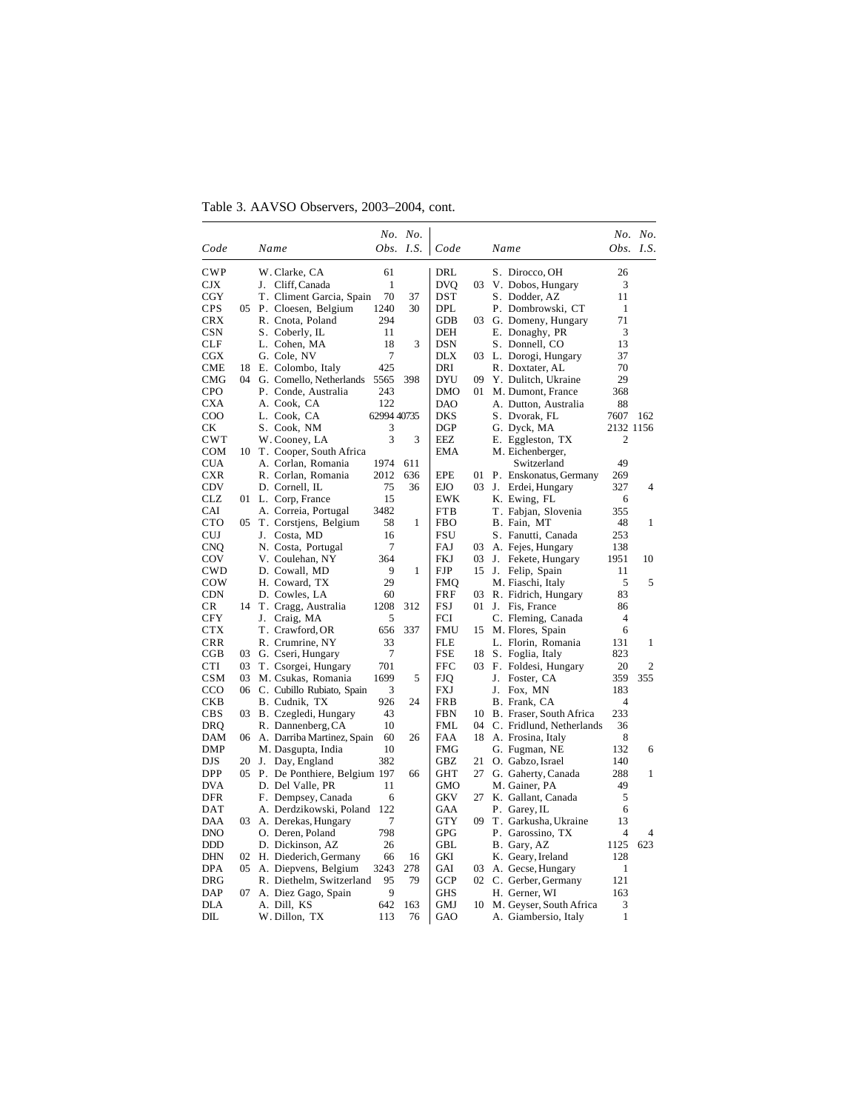Table 3. AAVSO Observers, 2003–2004, cont.

|              |      |                                 |             | No. No.          |            |     |                          |                | No. No. |
|--------------|------|---------------------------------|-------------|------------------|------------|-----|--------------------------|----------------|---------|
| Code         |      | Name                            |             | <i>Obs. I.S.</i> | Code       |     | Name                     | Obs.           | LS.     |
| CWP          |      | W. Clarke, CA                   | 61          |                  | DRL        |     | S. Dirocco, OH           | 26             |         |
| CJX          |      | J. Cliff, Canada                | 1           |                  | <b>DVQ</b> | 03  | V. Dobos, Hungary        | 3              |         |
| $_{\rm CGY}$ |      | T. Climent Garcia, Spain        | 70          | 37               | <b>DST</b> |     | S. Dodder, AZ            | 11             |         |
| <b>CPS</b>   | 05   | P. Cloesen, Belgium             | 1240        | 30               | <b>DPL</b> |     | P. Dombrowski, CT        | 1              |         |
| <b>CRX</b>   |      | R. Cnota, Poland                | 294         |                  | <b>GDB</b> | 03  | G. Domeny, Hungary       | 71             |         |
| CSN          |      | S. Coberly, IL                  | 11          |                  | DEH        |     | E. Donaghy, PR           | 3              |         |
| CLF          |      | L. Cohen, MA                    | 18          | 3                | <b>DSN</b> |     | S. Donnell, CO           | 13             |         |
| $_{\rm CGX}$ |      | G. Cole, NV                     | 7           |                  | <b>DLX</b> |     | 03 L. Dorogi, Hungary    | 37             |         |
| CME          | 18   | E. Colombo, Italy               | 425         |                  | DRI        |     | R. Doxtater, AL          | 70             |         |
| CMG          | 04   | G. Comello, Netherlands         | 5565        | 398              | <b>DYU</b> | 09  | Y. Dulitch, Ukraine      | 29             |         |
| <b>CPO</b>   |      | P. Conde, Australia             | 243         |                  | DMO        | 01  | M. Dumont, France        | 368            |         |
| <b>CXA</b>   |      | A. Cook, CA                     | 122         |                  | DAO        |     | A. Dutton, Australia     | 88             |         |
| $_{\rm COO}$ |      | L. Cook, CA                     | 62994 40735 |                  | <b>DKS</b> |     | S. Dvorak, FL            | 7607           | 162     |
| CК           |      | S. Cook, NM                     | 3           |                  | <b>DGP</b> |     | G. Dyck, MA              | 2132 1156      |         |
| <b>CWT</b>   |      | W. Cooney, LA                   | 3           | 3                | EEZ        |     | E. Eggleston, TX         | $\overline{2}$ |         |
| <b>COM</b>   | 10   | T. Cooper, South Africa         |             |                  | <b>EMA</b> |     | M. Eichenberger,         |                |         |
| <b>CUA</b>   |      | A. Corlan, Romania              | 1974        | 611              |            |     | Switzerland              | 49             |         |
| <b>CXR</b>   |      | R. Corlan, Romania              | 2012        | 636              | <b>EPE</b> | 01  | P. Enskonatus, Germany   | 269            |         |
| <b>CDV</b>   |      | D. Cornell, IL                  | 75          | 36               | <b>EJO</b> | 03  | J. Erdei, Hungary        | 327            | 4       |
| CLZ          | 01 - | L. Corp, France                 | 15          |                  | EWK        |     | K. Ewing, FL             | 6              |         |
| CAI          |      | A. Correia, Portugal            | 3482        |                  | <b>FTB</b> |     | T. Fabjan, Slovenia      | 355            |         |
| CTO          | 05   | T. Corstjens, Belgium           | 58          | 1                | FBO        |     | B. Fain, MT              | 48             | 1       |
| CUJ          |      | Costa, MD<br>J.                 | 16          |                  | FSU        |     | S. Fanutti, Canada       | 253            |         |
| <b>CNQ</b>   |      | N. Costa, Portugal              | 7           |                  | FAJ        | 03  | A. Fejes, Hungary        | 138            |         |
| COV          |      | V. Coulehan, NY                 | 364         |                  | <b>FKJ</b> | 03  | J. Fekete, Hungary       | 1951           | 10      |
| <b>CWD</b>   |      | D. Cowall, MD                   | 9           | 1                | FJP        | 15  | J.<br>Felip, Spain       | 11             |         |
| COW          |      | H. Coward, TX                   | 29          |                  | <b>FMQ</b> |     | M. Fiaschi, Italy        | 5              | 5       |
| <b>CDN</b>   |      | D. Cowles, LA                   | 60          |                  | FRF        | 03  | R. Fidrich, Hungary      | 83             |         |
| CR           | 14   | T. Cragg, Australia             | 1208        | 312              | FSJ        | 01  | J. Fis, France           | 86             |         |
| <b>CFY</b>   |      | Craig, MA<br>J.                 | 5           |                  | FCI        |     | C. Fleming, Canada       | $\overline{4}$ |         |
| CTX          |      | T. Crawford, OR                 | 656         | 337              | FMU        | 15  | M. Flores, Spain         | 6              |         |
| CRR          |      | R. Crumrine, NY                 | 33          |                  | <b>FLE</b> |     | L. Florin, Romania       | 131            | 1       |
| CGB          | 03   | G. Cseri, Hungary               | 7           |                  | <b>FSE</b> | 18  | S. Foglia, Italy         | 823            |         |
| CTI          | 03.  | T. Csorgei, Hungary             | 701         |                  | <b>FFC</b> | 03. | F. Foldesi, Hungary      | 20             | 2       |
| CSM          | 03   | M. Csukas, Romania              | 1699        | 5                | <b>FJQ</b> |     | J. Foster, CA            | 359            | 355     |
| CCO          | 06   | C. Cubillo Rubiato, Spain       | 3           |                  | FXJ        |     | J.<br>Fox, MN            | 183            |         |
| CKB          |      | B. Cudnik, TX                   | 926         | 24               | <b>FRB</b> |     | B. Frank, CA             | $\overline{4}$ |         |
| <b>CBS</b>   |      | 03 B. Czegledi, Hungary         | 43          |                  | <b>FBN</b> | 10  | B. Fraser, South Africa  | 233            |         |
| DRQ          |      | R. Dannenberg, CA               | 10          |                  | <b>FML</b> | 04  | C. Fridlund, Netherlands | 36             |         |
| DAM          | 06   | A. Darriba Martinez, Spain      | 60          | 26               | FAA        | 18  | A. Frosina, Italy        | 8              |         |
| <b>DMP</b>   |      | M. Dasgupta, India              | 10          |                  | <b>FMG</b> |     | G. Fugman, NE            | 132            | 6       |
| <b>DJS</b>   |      | 20 J. Day, England              | 382         |                  | GBZ        | 21  | O. Gabzo, Israel         | 140            |         |
| DPP          |      | 05 P. De Ponthiere, Belgium 197 |             | 66               | GHT        | 27  | G. Gaherty, Canada       | 288            | 1       |
| <b>DVA</b>   |      | D. Del Valle, PR                | 11          |                  | GMO        |     | M. Gainer, PA            | 49             |         |
| DFR          |      | F. Dempsey, Canada              | 6           |                  | GKV        | 27  | K. Gallant, Canada       | 5              |         |
| DAT          |      | A. Derdzikowski, Poland         | 122         |                  | GAA        |     | P. Garey, IL             | 6              |         |
| DAA          | 03   | A. Derekas, Hungary             | 7           |                  | GTY        | 09  | T. Garkusha, Ukraine     | 13             |         |
| <b>DNO</b>   |      | O. Deren, Poland                | 798         |                  | GPG        |     | P. Garossino, TX         | 4              | 4       |
| <b>DDD</b>   |      | D. Dickinson, AZ                | 26          |                  | GBL        |     | B. Gary, AZ              | 1125           | 623     |
| <b>DHN</b>   | 02   | H. Diederich, Germany           | 66          | 16               | GKI        |     | K. Geary, Ireland        | 128            |         |
| <b>DPA</b>   | 05   | A. Diepvens, Belgium            | 3243        | 278              | GAI        | 03  | A. Gecse, Hungary        | 1              |         |
| <b>DRG</b>   |      | R. Diethelm, Switzerland        | 95          | 79               | <b>GCP</b> |     | 02 C. Gerber, Germany    | 121            |         |
| DAP          | 07   | A. Diez Gago, Spain             | 9           |                  | <b>GHS</b> |     | H. Gerner, WI            | 163            |         |
| <b>DLA</b>   |      | A. Dill, KS                     | 642         | 163              | GMJ        | 10  | M. Geyser, South Africa  | 3              |         |
| DIL          |      | W. Dillon, TX                   | 113         | 76               | GAO        |     | A. Giambersio, Italy     | 1              |         |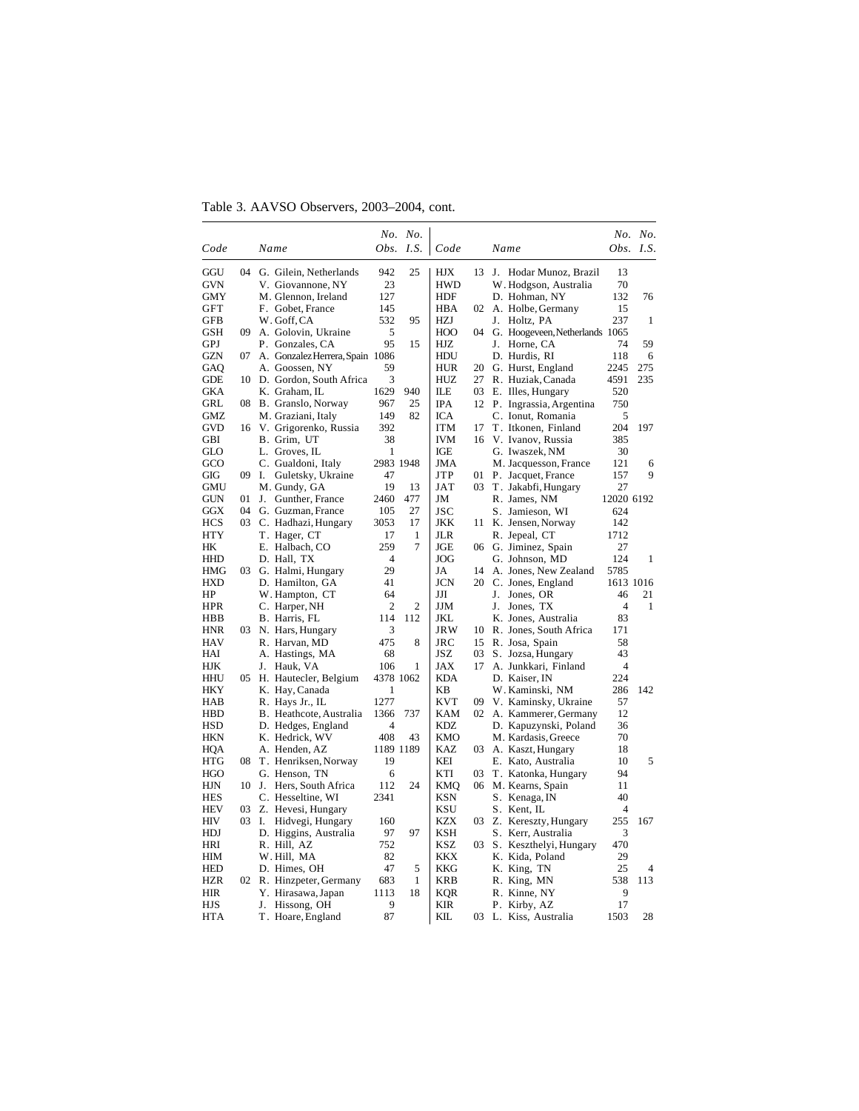Table 3. AAVSO Observers, 2003–2004, cont.

|            |    |                                 |      | No. No.        |            |    |                                |                | No. No. |
|------------|----|---------------------------------|------|----------------|------------|----|--------------------------------|----------------|---------|
| Code       |    | Name                            | Obs. | I.S.           | Code       |    | Name                           | Obs.           | LS.     |
| GGU        | 04 | G. Gilein, Netherlands          | 942  | 25             | HJX        | 13 | J. Hodar Munoz, Brazil         | 13             |         |
| GVN        |    | V. Giovannone, NY               | 23   |                | <b>HWD</b> |    | W. Hodgson, Australia          | 70             |         |
| <b>GMY</b> |    | M. Glennon, Ireland             | 127  |                | HDF        |    | D. Hohman, NY                  | 132            | 76      |
| GFT        |    | F. Gobet, France                | 145  |                | <b>HBA</b> | 02 | A. Holbe, Germany              | 15             |         |
| GFB        |    | W. Goff, CA                     | 532  | 95             | <b>HZJ</b> |    | J. Holtz, PA                   | 237            | 1       |
| GSH        | 09 | A. Golovin, Ukraine             | 5    |                | HOO        | 04 | G. Hoogeveen, Netherlands 1065 |                |         |
| GPJ        |    | P. Gonzales, CA                 | 95   | 15             | HJZ        |    | J. Horne, CA                   | 74             | 59      |
| <b>GZN</b> | 07 | A. Gonzalez Herrera, Spain 1086 |      |                | HDU        |    | D. Hurdis, RI                  | 118            | 6       |
| GAQ        |    | A. Goossen, NY                  | 59   |                | <b>HUR</b> | 20 | G. Hurst, England              | 2245           | 275     |
| GDE        | 10 | D. Gordon, South Africa         | 3    |                | HUZ        | 27 | R. Huziak, Canada              | 4591           | 235     |
| GKA        |    | K. Graham, IL                   | 1629 | 940            | ILЕ        | 03 | E. Illes, Hungary              | 520            |         |
| GRL        |    | 08 B. Granslo, Norway           | 967  | 25             | <b>IPA</b> |    | 12 P. Ingrassia, Argentina     | 750            |         |
| GMZ        |    | M. Graziani, Italy              | 149  | 82             | ICA        |    | C. Ionut, Romania              | 5              |         |
| GVD        |    | 16 V. Grigorenko, Russia        | 392  |                | <b>ITM</b> | 17 | T. Itkonen, Finland            | 204            | 197     |
| GBI        |    | B. Grim, UT                     | 38   |                | <b>IVM</b> | 16 | V. Ivanov, Russia              | 385            |         |
| GLO        |    | L. Groves, IL                   | 1    |                | IGE        |    | G. Iwaszek, NM                 | 30             |         |
| GCO        |    | C. Gualdoni, Italy              |      | 2983 1948      | JMA        |    | M. Jacquesson, France          | 121            | 6       |
| GIG        | 09 | Guletsky, Ukraine<br>Ι.         | 47   |                | <b>JTP</b> | 01 | P. Jacquet, France             | 157            | 9       |
| GMU        |    | M. Gundy, GA                    | 19   | 13             | JAT        | 03 | T. Jakabfi, Hungary            | 27             |         |
| GUN        | 01 | $J_{-}$<br>Gunther, France      | 2460 | 477            | JM         |    | R. James, NM                   | 12020 6192     |         |
| <b>GGX</b> | 04 | G. Guzman, France               | 105  | 27             | JSC        |    | S. Jamieson, WI                | 624            |         |
| <b>HCS</b> | 03 | C. Hadhazi, Hungary             | 3053 | 17             | JKK        | 11 | K. Jensen, Norway              | 142            |         |
| HTY        |    | T. Hager, CT                    | 17   | 1              | <b>JLR</b> |    | R. Jepeal, CT                  | 1712           |         |
| HK         |    | E. Halbach, CO                  | 259  | 7              | JGE        | 06 | G. Jiminez, Spain              | 27             |         |
| <b>HHD</b> |    | D. Hall, TX                     | 4    |                | <b>JOG</b> |    | G. Johnson, MD                 | 124            | 1       |
| <b>HMG</b> | 03 | G. Halmi, Hungary               | 29   |                | JA         | 14 | A. Jones, New Zealand          | 5785           |         |
| <b>HXD</b> |    | D. Hamilton, GA                 | 41   |                | <b>JCN</b> |    | 20 C. Jones, England           | 1613 1016      |         |
| HP         |    | W. Hampton, CT                  | 64   |                | JЛ         |    | J. Jones, OR                   | 46             | 21      |
| HPR        |    | C. Harper, NH                   | 2    | $\overline{2}$ | JJM        |    | J. Jones, TX                   | $\overline{4}$ | 1       |
| HBB        |    | B. Harris, FL                   | 114  | 112            | JKL        |    | K. Jones, Australia            | 83             |         |
| <b>HNR</b> | 03 | N. Hars, Hungary                | 3    |                | <b>JRW</b> | 10 | R. Jones, South Africa         | 171            |         |
| <b>HAV</b> |    | R. Harvan, MD                   | 475  | 8              | JRC        | 15 | R. Josa, Spain                 | 58             |         |
| HAI        |    | A. Hastings, MA                 | 68   |                | JSZ        | 03 | S. Jozsa, Hungary              | 43             |         |
| HJK        |    | J. Hauk, VA                     | 106  | 1              | JAX        | 17 | A. Junkkari, Finland           | 4              |         |
| <b>HHU</b> |    | 05 H. Hautecler, Belgium        |      | 4378 1062      | <b>KDA</b> |    | D. Kaiser, IN                  | 224            |         |
| HKY        |    | K. Hay, Canada                  | 1    |                | KB         |    | W. Kaminski, NM                | 286            | 142     |
| <b>HAB</b> |    | R. Hays Jr., IL                 | 1277 |                | <b>KVT</b> | 09 | V. Kaminsky, Ukraine           | 57             |         |
| <b>HBD</b> |    | B. Heathcote, Australia         | 1366 | 737            | <b>KAM</b> |    | 02 A. Kammerer, Germany        | 12             |         |
| <b>HSD</b> |    | D. Hedges, England              | 4    |                | KDZ        |    | D. Kapuzynski, Poland          | 36             |         |
| HKN        |    | K. Hedrick, WV                  | 408  | 43             | <b>KMO</b> |    | M. Kardasis, Greece            | 70             |         |
| HOA        |    | A. Henden, AZ                   |      | 1189 1189      | KAZ        | 03 | A. Kaszt, Hungary              | 18             |         |
| <b>HTG</b> | 08 | T. Henriksen, Norway            | 19   |                | KEI        |    | E. Kato, Australia             | 10             | 5       |
| HGO        |    | G. Henson, TN                   | 6    |                | KTI        | 03 | T. Katonka, Hungary            | 94             |         |
| <b>HJN</b> | 10 | J. Hers, South Africa           | 112  | 24             | <b>KMQ</b> | 06 | M. Kearns, Spain               | 11             |         |
| <b>HES</b> |    | C. Hesseltine, WI               | 2341 |                | KSN        |    | S. Kenaga, IN                  | 40             |         |
| <b>HEV</b> | 03 | Z. Hevesi, Hungary              |      |                | <b>KSU</b> |    | S. Kent, IL                    | 4              |         |
| HIV        |    | 03 I.<br>Hidvegi, Hungary       | 160  |                | <b>KZX</b> | 03 | Z. Kereszty, Hungary           | 255            | 167     |
| HDJ        |    | D. Higgins, Australia           | 97   | 97             | <b>KSH</b> |    | S. Kerr, Australia             | 3              |         |
| HRI        |    | R. Hill, AZ                     | 752  |                | KSZ        | 03 | S. Keszthelyi, Hungary         | 470            |         |
| HIM        |    | W. Hill, MA                     | 82   |                | <b>KKX</b> |    | K. Kida, Poland                | 29             |         |
| <b>HED</b> |    | D. Himes, OH                    | 47   | 5              | <b>KKG</b> |    | K. King, TN                    | 25             | 4       |
| <b>HZR</b> |    | 02 R. Hinzpeter, Germany        | 683  | 1              | <b>KRB</b> |    | R. King, MN                    | 538            | 113     |
| <b>HIR</b> |    | Y. Hirasawa, Japan              | 1113 | 18             | <b>KQR</b> |    | R. Kinne, NY                   | 9              |         |
| HJS        |    | J.<br>Hissong, OH               | 9    |                | KIR        |    | P. Kirby, AZ                   | 17             |         |
| <b>HTA</b> |    | T. Hoare, England               | 87   |                | KIL        |    | 03 L. Kiss, Australia          | 1503           | 28      |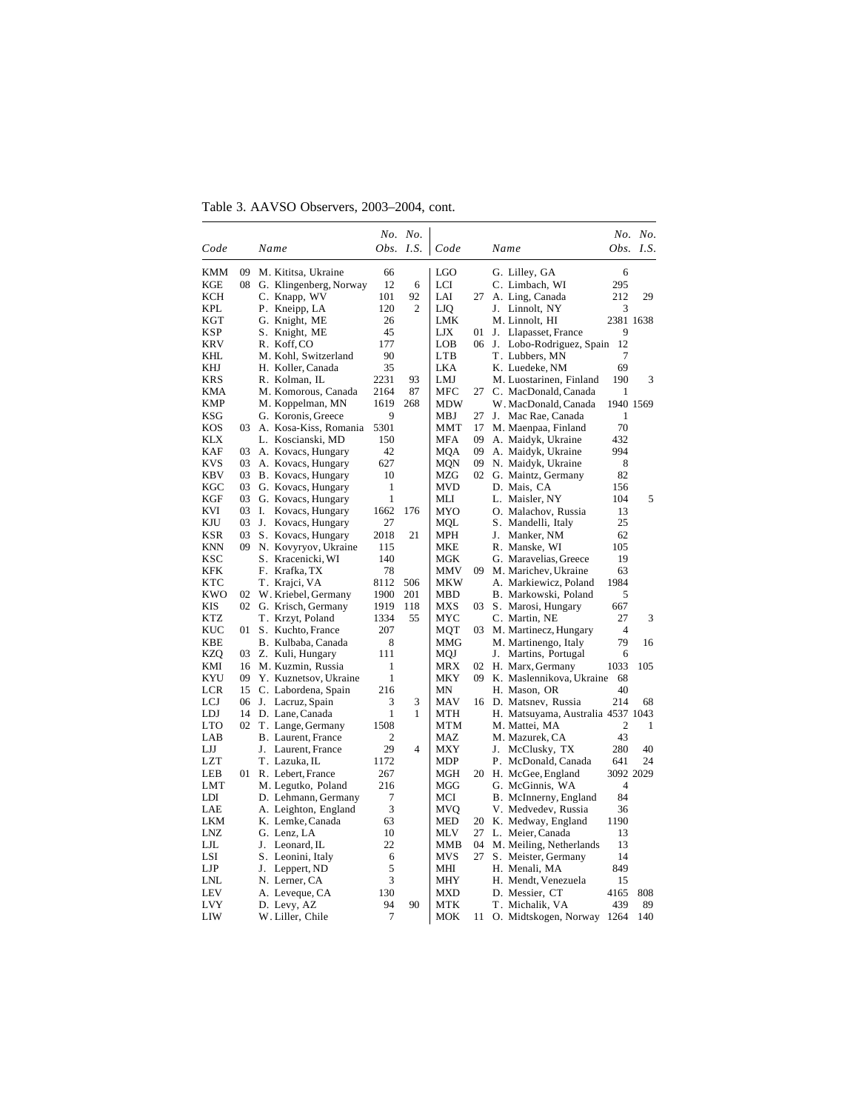Table 3. AAVSO Observers, 2003–2004, cont.

|                          |    |                                            |           | No. No.        |            |          |                                          |                | No. No.     |
|--------------------------|----|--------------------------------------------|-----------|----------------|------------|----------|------------------------------------------|----------------|-------------|
| Code                     |    | Name                                       | Obs.      | I.S.           | Code       |          | Name                                     |                | Obs. $I.S.$ |
| KMM                      | 09 | M. Kititsa, Ukraine                        | 66        |                | <b>LGO</b> |          | G. Lilley, GA                            | 6              |             |
| KGE                      | 08 | G. Klingenberg, Norway                     | 12        | 6              | LCI        |          | C. Limbach, WI                           | 295            |             |
| <b>KCH</b>               |    | C. Knapp, WV                               | 101       | 92             | LAI        | 27       | A. Ling, Canada                          | 212            | 29          |
| KPL                      |    | P. Kneipp, LA                              | 120       | $\overline{c}$ | LJQ        |          | J. Linnolt, NY                           | 3              |             |
| KGT                      |    | G. Knight, ME                              | 26        |                | LMK        |          | M. Linnolt, HI                           | 2381 1638      |             |
| KSP                      |    | S. Knight, ME                              | 45        |                | LJX        | 01       | J. Llapasset, France                     | 9              |             |
| KRV                      |    | R. Koff, CO                                | 177       |                | LOB        | 06       | J.<br>Lobo-Rodriguez, Spain              | 12             |             |
| KHL                      |    | M. Kohl, Switzerland                       | 90        |                | <b>LTB</b> |          | T. Lubbers, MN                           | 7              |             |
| KHJ                      |    | H. Koller, Canada                          | 35        |                | LKA        |          | K. Luedeke, NM                           | 69             |             |
| <b>KRS</b>               |    | R. Kolman, IL                              | 2231      | 93             | LMJ        |          | M. Luostarinen, Finland                  | 190            | 3           |
| KMA                      |    | M. Komorous, Canada                        | 2164      | 87             | <b>MFC</b> | 27       | C. MacDonald, Canada                     | 1              |             |
| KMP                      |    | M. Koppelman, MN                           | 1619      | 268            | MDW        |          | W. MacDonald, Canada                     | 1940 1569      |             |
| KSG                      |    | G. Koronis, Greece                         | 9         |                | MBJ        | 27       | J. Mac Rae, Canada                       | 1              |             |
| <b>KOS</b><br><b>KLX</b> | 03 | A. Kosa-Kiss, Romania<br>L. Koscianski, MD | 5301      |                | MMT        | 17<br>09 | M. Maenpaa, Finland                      | 70<br>432      |             |
| KAF                      | 03 | A. Kovacs, Hungary                         | 150<br>42 |                | MFA<br>MQA | 09       | A. Maidyk, Ukraine<br>A. Maidyk, Ukraine | 994            |             |
| KVS                      | 03 | A. Kovacs, Hungary                         | 627       |                | MQN        | 09       | N. Maidyk, Ukraine                       | 8              |             |
| KBV                      | 03 | B. Kovacs, Hungary                         | 10        |                | MZG        | 02       | G. Maintz, Germany                       | 82             |             |
| KGC                      | 03 | G. Kovacs, Hungary                         | 1         |                | MVD        |          | D. Mais, CA                              | 156            |             |
| KGF                      | 03 | G. Kovacs, Hungary                         | 1         |                | MLI        |          | L. Maisler, NY                           | 104            | 5           |
| KVI                      | 03 | I.<br>Kovacs, Hungary                      | 1662      | 176            | MYO        |          | O. Malachov, Russia                      | 13             |             |
| KJU                      | 03 | J. Kovacs, Hungary                         | 27        |                | MQL        |          | S. Mandelli, Italy                       | 25             |             |
| KSR                      | 03 | S. Kovacs, Hungary                         | 2018      | 21             | MPH        |          | J. Manker, NM                            | 62             |             |
| KNN                      | 09 | N. Kovyryov, Ukraine                       | 115       |                | MKE        |          | R. Manske, WI                            | 105            |             |
| <b>KSC</b>               |    | S. Kracenicki, WI                          | 140       |                | <b>MGK</b> |          | G. Maravelias, Greece                    | 19             |             |
| KFK                      |    | F. Krafka, TX                              | 78        |                | MMV        | 09       | M. Marichev, Ukraine                     | 63             |             |
| KTC                      |    | T. Krajci, VA                              | 8112      | 506            | MKW        |          | A. Markiewicz, Poland                    | 1984           |             |
| KWO                      | 02 | W. Kriebel, Germany                        | 1900      | 201            | MBD        |          | B. Markowski, Poland                     | 5              |             |
| KIS                      | 02 | G. Krisch, Germany                         | 1919      | 118            | MXS        | 03       | S. Marosi, Hungary                       | 667            |             |
| KTZ                      |    | T. Krzyt, Poland                           | 1334      | 55             | MYC        |          | C. Martin, NE                            | 27             | 3           |
| KUC                      | 01 | S. Kuchto, France                          | 207       |                | MQT        | 03       | M. Martinecz, Hungary                    | $\overline{4}$ |             |
| <b>KBE</b>               |    | B. Kulbaba, Canada                         | 8         |                | MMG        |          | M. Martinengo, Italy                     | 79             | 16          |
| KZQ                      | 03 | Z. Kuli, Hungary                           | 111       |                | MQJ        |          | J. Martins, Portugal                     | 6              |             |
| KMI                      | 16 | M. Kuzmin, Russia                          | 1         |                | MRX        | 02       | H. Marx, Germany                         | 1033           | 105         |
| KYU                      | 09 | Y. Kuznetsov, Ukraine                      | 1         |                | MKY        | 09       | K. Maslennikova, Ukraine                 | 68             |             |
| LCR                      | 15 | C. Labordena, Spain                        | 216       |                | MN         |          | H. Mason, OR                             | 40             |             |
| LCJ                      | 06 | J. Lacruz, Spain                           | 3         | 3              | MAV        | 16       | D. Matsnev, Russia                       | 214            | 68          |
| LDJ                      | 14 | D. Lane, Canada                            | 1         | 1              | MTH        |          | H. Matsuyama, Australia 4537 1043        |                |             |
| LTO                      | 02 | T. Lange, Germany                          | 1508      |                | MTM        |          | M. Mattei, MA                            | 2              | 1           |
| LAB                      |    | B. Laurent, France<br>J.                   | 2<br>29   | 4              | MAZ        |          | M. Mazurek, CA<br>J.                     | 43             | 40          |
| LJJ<br>LZT               |    | Laurent, France<br>T. Lazuka, IL           | 1172      |                | MXY<br>MDP |          | McClusky, TX<br>P. McDonald, Canada      | 280<br>641     | 24          |
| LEB                      | 01 | R. Lebert, France                          | 267       |                | MGH        | 20       | H. McGee, England                        | 3092 2029      |             |
| LMT                      |    | M. Legutko, Poland                         | 216       |                | MGG        |          | G. McGinnis, WA                          | $\overline{4}$ |             |
| LDI                      |    | D. Lehmann, Germany                        | 7         |                | MCI        |          | B. McInnerny, England                    | 84             |             |
| LAE                      |    | A. Leighton, England                       | 3         |                | MVO        |          | V. Medvedev, Russia                      | 36             |             |
| <b>LKM</b>               |    | K. Lemke, Canada                           | 63        |                | <b>MED</b> | 20       | K. Medway, England                       | 1190           |             |
| LNZ                      |    | G. Lenz, LA                                | 10        |                | MLV        | 27       | L. Meier, Canada                         | 13             |             |
| LJL                      |    | J.<br>Leonard, IL                          | 22        |                | MMB        | 04       | M. Meiling, Netherlands                  | 13             |             |
| LSI                      |    | S. Leonini, Italy                          | 6         |                | MVS        | 27       | S. Meister, Germany                      | 14             |             |
| $_{\rm LJP}$             |    | Leppert, ND<br>J.                          | 5         |                | MНI        |          | H. Menali, MA                            | 849            |             |
| LNL                      |    | N. Lerner, CA                              | 3         |                | MHY        |          | H. Mendt, Venezuela                      | 15             |             |
| <b>LEV</b>               |    | A. Leveque, CA                             | 130       |                | MXD        |          | D. Messier, CT                           | 4165           | 808         |
| <b>LVY</b>               |    | D. Levy, AZ                                | 94        | 90             | MTK        |          | T. Michalik, VA                          | 439            | 89          |
| LIW                      |    | W. Liller, Chile                           | 7         |                | MOK        | 11 -     | O. Midtskogen, Norway                    | 1264           | 140         |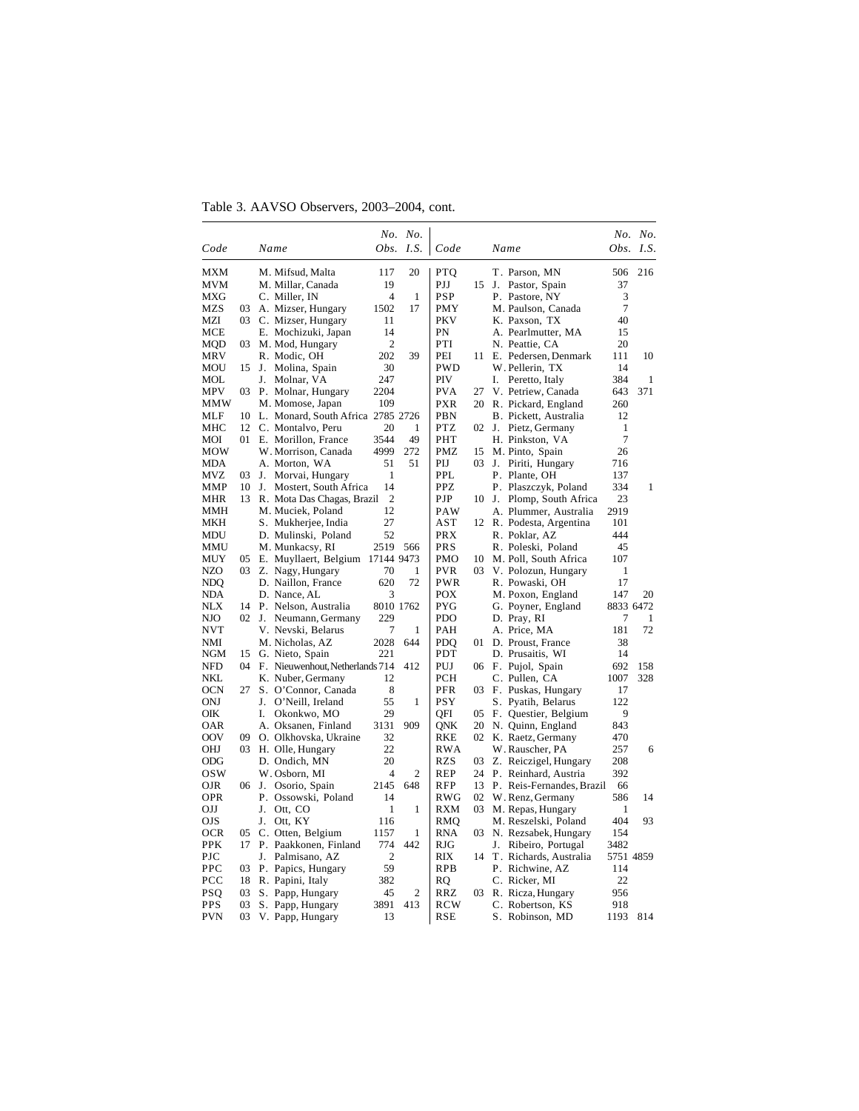Table 3. AAVSO Observers, 2003–2004, cont.

|            |    |                                   |                | No. No.      |            |    |                           |                | No. No. |
|------------|----|-----------------------------------|----------------|--------------|------------|----|---------------------------|----------------|---------|
| Code       |    | Name                              | Obs.           | I.S.         | Code       |    | Name                      | Obs.           | I.S.    |
| <b>MXM</b> |    | M. Mifsud, Malta                  | 117            | 20           | <b>PTQ</b> |    | T. Parson, MN             | 506            | 216     |
| MVM        |    | M. Millar, Canada                 | 19             |              | PJJ        | 15 | Pastor, Spain<br>J.       | 37             |         |
| <b>MXG</b> |    | C. Miller, IN                     | $\overline{4}$ | $\mathbf{1}$ | <b>PSP</b> |    | P. Pastore, NY            | 3              |         |
| <b>MZS</b> | 03 | A. Mizser, Hungary                | 1502           | 17           | <b>PMY</b> |    | M. Paulson, Canada        | $\tau$         |         |
| MZI        |    | 03 C. Mizser, Hungary             | 11             |              | <b>PKV</b> |    | K. Paxson, TX             | 40             |         |
| MCE        |    | E. Mochizuki, Japan               | 14             |              | PN         |    | A. Pearlmutter, MA        | 15             |         |
| MQD        | 03 | M. Mod, Hungary                   | $\overline{2}$ |              | PTI        |    | N. Peattie, CA            | 20             |         |
| MRV        |    | R. Modic, OH                      | 202            | 39           | PEI        | 11 | E. Pedersen, Denmark      | 111            | 10      |
| MOU        | 15 | Molina, Spain<br>J.               | 30             |              | PWD        |    | W. Pellerin, TX           | 14             |         |
| MOL        |    | Molnar, VA<br>J.                  | 247            |              | PIV        |    | I.<br>Peretto, Italy      | 384            | 1       |
| <b>MPV</b> |    | 03 P. Molnar, Hungary             | 2204           |              | <b>PVA</b> | 27 | V. Petriew, Canada        | 643            | 371     |
| MMW        |    | M. Momose, Japan                  | 109            |              | <b>PXR</b> | 20 | R. Pickard, England       | 260            |         |
| MLF        | 10 | L. Monard, South Africa 2785 2726 |                |              | PBN        |    | B. Pickett, Australia     | 12             |         |
| MHC        | 12 | C. Montalvo, Peru                 | 20             | 1            | <b>PTZ</b> | 02 | J. Pietz, Germany         | $\mathbf{1}$   |         |
| MOI        | 01 | E. Morillon, France               | 3544           | 49           | PHT        |    | H. Pinkston, VA           | $\overline{7}$ |         |
| <b>MOW</b> |    | W. Morrison, Canada               | 4999           | 272          | <b>PMZ</b> | 15 | M. Pinto, Spain           | 26             |         |
| MDA        |    | A. Morton, WA                     | 51             | 51           | PIJ        | 03 | J.<br>Piriti, Hungary     | 716            |         |
| <b>MVZ</b> | 03 | J. Morvai, Hungary                | 1              |              | <b>PPL</b> |    | P. Plante, OH             | 137            |         |
| <b>MMP</b> | 10 | Mostert, South Africa<br>J.       | 14             |              | <b>PPZ</b> |    | P. Plaszczyk, Poland      | 334            | 1       |
| MHR        | 13 | R. Mota Das Chagas, Brazil        | $\overline{2}$ |              | PJP        | 10 | J. Plomp, South Africa    | 23             |         |
| MMH        |    | M. Muciek, Poland                 | 12             |              | PAW        |    | A. Plummer, Australia     | 2919           |         |
| MKH        |    | S. Mukherjee, India               | 27             |              | AST        |    | 12 R. Podesta, Argentina  | 101            |         |
| <b>MDU</b> |    | D. Mulinski, Poland               | 52             |              | <b>PRX</b> |    | R. Poklar, AZ             | 444            |         |
| MMU        |    | M. Munkacsy, RI                   | 2519           | 566          | <b>PRS</b> |    | R. Poleski, Poland        | 45             |         |
| <b>MUY</b> | 05 | E. Muyllaert, Belgium             | 17144 9473     |              | <b>PMO</b> | 10 | M. Poll, South Africa     | 107            |         |
| NZO        | 03 | Z. Nagy, Hungary                  | 70             | 1            | <b>PVR</b> | 03 | V. Polozun, Hungary       | 1              |         |
| <b>NDQ</b> |    | D. Naillon, France                | 620            | 72           | <b>PWR</b> |    | R. Powaski, OH            | 17             |         |
| NDA        |    | D. Nance, AL                      | 3              |              | <b>POX</b> |    | M. Poxon, England         | 147            | 20      |
| NIX        | 14 | P. Nelson, Australia              | 8010 1762      |              | <b>PYG</b> |    | G. Poyner, England        | 8833 6472      |         |
| NJO        |    | 02 J.<br>Neumann, Germany         | 229            |              | <b>PDO</b> |    | D. Pray, RI               | 7              | 1       |
| NVT        |    | V. Nevski, Belarus                | 7              | 1            | PAH        |    | A. Price, MA              | 181            | 72      |
| NMI        |    | M. Nicholas, AZ                   | 2028           | 644          | <b>PDO</b> | 01 | D. Proust, France         | 38             |         |
| <b>NGM</b> | 15 | G. Nieto, Spain                   | 221            |              | PDT        |    | D. Prusaitis, WI          | 14             |         |
| <b>NFD</b> | 04 | F. Nieuwenhout, Netherlands 714   |                | 412          | PUJ        |    | 06 F. Pujol, Spain        | 692            | 158     |
| NKL        |    | K. Nuber, Germany                 | 12             |              | PCH        |    | C. Pullen, CA             | 1007           | 328     |
| <b>OCN</b> | 27 | S. O'Connor, Canada               | 8              |              | PFR        | 03 | F. Puskas, Hungary        | 17             |         |
| ONJ        |    | J.<br>O'Neill, Ireland            | 55             | $\mathbf{1}$ | <b>PSY</b> |    | S. Pyatih, Belarus        | 122            |         |
| OIK        |    | I.<br>Okonkwo, MO                 | 29             |              | OFI        | 05 | F. Questier, Belgium      | 9              |         |
| OAR        |    | A. Oksanen, Finland               | 3131           | 909          | ONK        | 20 | N. Quinn, England         | 843            |         |
| <b>OOV</b> | 09 | O. Olkhovska, Ukraine             | 32             |              | RKE        | 02 | K. Raetz, Germany         | 470            |         |
| OHJ        | 03 | H. Olle, Hungary                  | 22             |              | <b>RWA</b> |    | W. Rauscher, PA           | 257            | 6       |
| ODG        |    | D. Ondich, MN                     | 20             |              | RZS        | 03 | Z. Reiczigel, Hungary     | 208            |         |
| <b>OSW</b> |    | W. Osborn, MI                     | $\overline{4}$ | 2            | REP        | 24 | P. Reinhard, Austria      | 392            |         |
| OJR        | 06 | J.<br>Osorio, Spain               | 2145           | 648          | <b>RFP</b> | 13 | P. Reis-Fernandes, Brazil | 66             |         |
| <b>OPR</b> |    | P. Ossowski, Poland               | 14             |              | <b>RWG</b> | 02 | W. Renz, Germany          | 586            | 14      |
| OIJ        |    | J.<br>Ott, CO                     | 1              | 1            | <b>RXM</b> | 03 | M. Repas, Hungary         | 1              |         |
| <b>OJS</b> |    | Ott, KY<br>J.                     | 116            |              | RMQ        |    | M. Reszelski, Poland      | 404            | 93      |
| <b>OCR</b> | 05 | C. Otten, Belgium                 | 1157           | 1            | <b>RNA</b> | 03 | N. Rezsabek, Hungary      | 154            |         |
| <b>PPK</b> | 17 | P. Paakkonen, Finland             | 774            | 442          | RJG        |    | J.<br>Ribeiro, Portugal   | 3482           |         |
| PJC        |    | Palmisano, AZ<br>J.               | 2              |              | RIX        | 14 | T. Richards, Australia    | 5751 4859      |         |
| PPC        | 03 | P. Papics, Hungary                | 59             |              | <b>RPB</b> |    | P. Richwine, AZ           | 114            |         |
| PCC        | 18 | R. Papini, Italy                  | 382            |              | <b>RQ</b>  |    | C. Ricker, MI             | 22             |         |
| <b>PSO</b> | 03 | S. Papp, Hungary                  | 45             | 2            | RRZ        | 03 | R. Ricza, Hungary         | 956            |         |
| <b>PPS</b> | 03 | S. Papp, Hungary                  | 3891           | 413          | <b>RCW</b> |    | C. Robertson, KS          | 918            |         |
| <b>PVN</b> | 03 | V. Papp, Hungary                  | 13             |              | RSE        |    | S. Robinson, MD           | 1193           | 814     |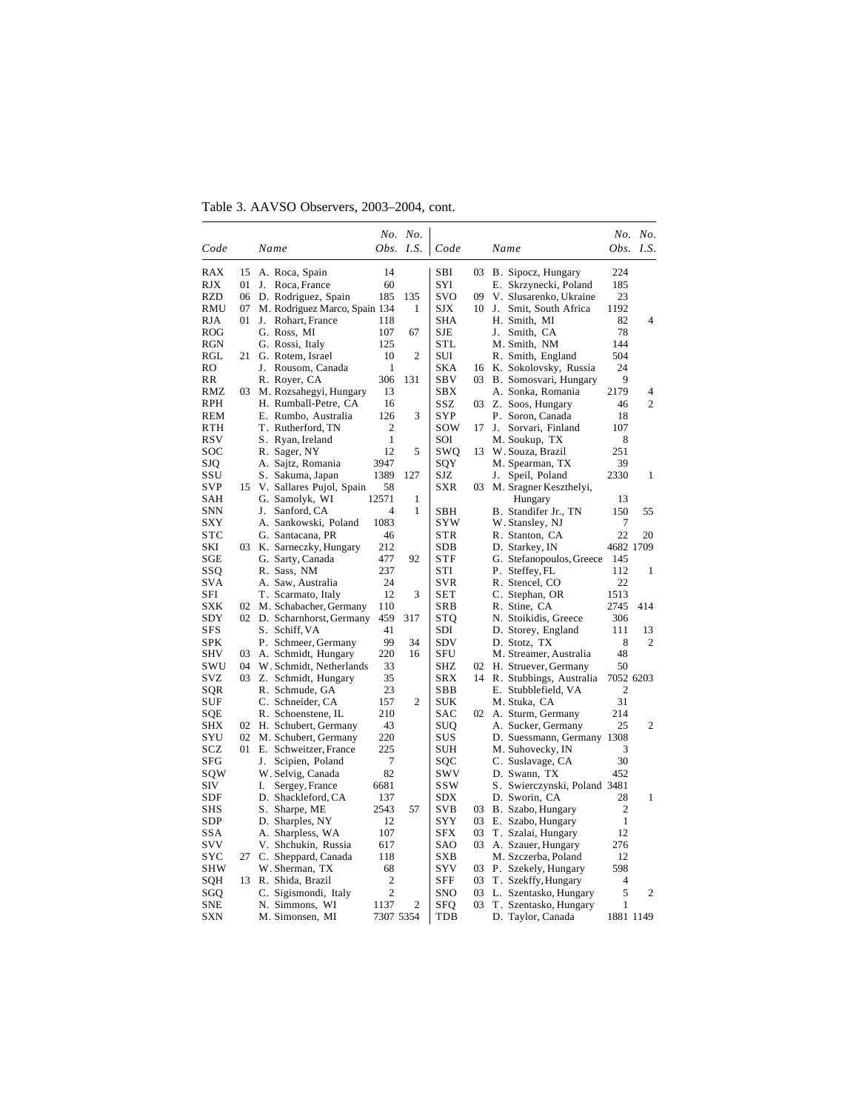Table 3. AAVSO Observers, 2003–2004, cont.

|            |    |    |                                      |                | No. No.<br>Obs. I.S. |            |     |                                               |                | No. No.             |
|------------|----|----|--------------------------------------|----------------|----------------------|------------|-----|-----------------------------------------------|----------------|---------------------|
| Code       |    |    | Name                                 |                |                      | Code       |     | Name                                          |                | Obs. I.S.           |
| RAX        | 15 |    | A. Roca, Spain                       | 14             |                      | SBI        | 03. | B. Sipocz, Hungary                            | 224            |                     |
| RJX        | 01 | J. | Roca, France                         | 60             |                      | SYI        |     | E. Skrzynecki, Poland                         | 185            |                     |
| RZD        | 06 |    | D. Rodriguez, Spain                  | 185            | 135                  | svo        | 09  | V. Slusarenko, Ukraine                        | 23             |                     |
| RMU        | 07 |    | M. Rodriguez Marco, Spain 134        |                | 1                    | SJX        | 10  | J. Smit, South Africa                         | 1192           |                     |
| RJA        | 01 |    | J. Rohart, France                    | 118            |                      | SHA        |     | H. Smith, MI                                  | 82             | 4                   |
| ROG        |    |    | G. Ross, MI                          | 107            | 67                   | SJE        |     | J. Smith, CA                                  | 78             |                     |
| RGN        |    |    | G. Rossi, Italy                      | 125            |                      | STL        |     | M. Smith, NM                                  | 144            |                     |
| RGL        | 21 |    | G. Rotem, Israel                     | 10             | $\overline{2}$       | SUI        |     | R. Smith, England                             | 504            |                     |
| RO         |    | J. | Rousom, Canada                       | 1              |                      | <b>SKA</b> | 16  | K. Sokolovsky, Russia                         | 24             |                     |
| RR         |    |    | R. Royer, CA                         | 306            | 131                  | SBV        | 03  | B. Somosvari, Hungary                         | 9              |                     |
| RMZ        | 03 |    | M. Rozsahegyi, Hungary               | 13             |                      | SBX        |     | A. Sonka, Romania                             | 2179           | 4<br>$\overline{c}$ |
| RPH<br>REM |    |    | H. Rumball-Petre, CA                 | 16<br>126      |                      | SSZ<br>SYP |     | 03 Z. Soos, Hungary                           | 46<br>18       |                     |
| RTH        |    |    | E. Rumbo, Australia                  | $\mathbf{2}$   | 3                    | sow        | 17  | P. Soron, Canada                              | 107            |                     |
| RSV        |    |    | T. Rutherford, TN                    | $\mathbf{1}$   |                      | SOI        |     | J. Sorvari, Finland                           | 8              |                     |
| soc        |    |    | S. Ryan, Ireland<br>R. Sager, NY     | 12             | 5                    | swo        | 13  | M. Soukup, TX<br>W. Souza, Brazil             | 251            |                     |
| SJQ        |    |    | A. Sajtz, Romania                    | 3947           |                      | SQY        |     | M. Spearman, TX                               | 39             |                     |
| SSU        |    |    | S. Sakuma, Japan                     | 1389           | 127                  | SJZ        |     | J. Speil, Poland                              | 2330           | 1                   |
| SVP        | 15 |    | V. Sallares Pujol, Spain             | 58             |                      | SXR        | 03  | M. Sragner Keszthelyi,                        |                |                     |
| SAH        |    |    | G. Samolyk, WI                       | 12571          | 1                    |            |     | Hungary                                       | 13             |                     |
| SNN        |    | J. | Sanford, CA                          | 4              | 1                    | SBH        |     | B. Standifer Jr., TN                          | 150            | 55                  |
| SXY        |    |    | A. Sankowski, Poland                 | 1083           |                      | SYW        |     | W. Stansley, NJ                               | 7              |                     |
| <b>STC</b> |    |    | G. Santacana, PR                     | 46             |                      | <b>STR</b> |     | R. Stanton, CA                                | 22             | 20                  |
| SKI        |    |    | 03 K. Sarneczky, Hungary             | 212            |                      | SDB        |     | D. Starkey, IN                                | 4682 1709      |                     |
| SGE        |    |    | G. Sarty, Canada                     | 477            | 92                   | <b>STF</b> |     | G. Stefanopoulos, Greece                      | 145            |                     |
| SSQ        |    |    | R. Sass, NM                          | 237            |                      | STI        |     | P. Steffey, FL                                | 112            | 1                   |
| SVA        |    |    | A. Saw, Australia                    | 24             |                      | <b>SVR</b> |     | R. Stencel, CO                                | 22             |                     |
| SFI        |    |    | T. Scarmato, Italy                   | 12             | 3                    | SET        |     | C. Stephan, OR                                | 1513           |                     |
| SXK        |    |    | 02 M. Schabacher, Germany            | 110            |                      | SRB        |     | R. Stine, CA                                  | 2745           | 414                 |
| SDY        |    |    | 02 D. Scharnhorst, Germany           | 459            | 317                  | STQ        |     | N. Stoikidis, Greece                          | 306            |                     |
| SFS        |    |    | S. Schiff, VA                        | 41             |                      | SDI        |     | D. Storey, England                            | 111            | 13                  |
| SPK        |    |    | P. Schmeer, Germany                  | 99             | 34                   | SDV        |     | D. Stotz, TX                                  | 8              | 2                   |
| <b>SHV</b> | 03 |    | A. Schmidt, Hungary                  | 220            | 16                   | SFU        |     | M. Streamer, Australia                        | 48             |                     |
| SWU        | 04 |    | W. Schmidt, Netherlands              | 33             |                      | SHZ        |     | 02 H. Struever, Germany                       | 50             |                     |
| SVZ        | 03 |    | Z. Schmidt, Hungary                  | 35             |                      | SRX        | 14  | R. Stubbings, Australia                       | 7052 6203      |                     |
| SQR        |    |    | R. Schmude, GA                       | 23             |                      | SBB        |     | E. Stubblefield, VA                           | 2              |                     |
| SUF        |    |    | C. Schneider, CA                     | 157            | $\overline{2}$       | SUK        |     | M. Stuka, CA                                  | 31             |                     |
| SQE        |    |    | R. Schoenstene, IL                   | 210            |                      | SAC        | 02  | A. Sturm, Germany                             | 214            |                     |
| SHX        |    |    | 02 H. Schubert, Germany              | 43             |                      | SUQ        |     | A. Sucker, Germany                            | 25             | 2                   |
| SYU        |    |    | 02 M. Schubert, Germany              | 220            |                      | SUS        |     | D. Suessmann, Germany 1308                    |                |                     |
| SCZ        |    |    | 01 E. Schweitzer, France             | 225            |                      | SUH        |     | M. Suhovecky, IN                              | 3              |                     |
| SFG        |    | J. | Scipien, Poland                      | 7<br>82        |                      | SQC<br>SWV |     | C. Suslavage, CA                              | 30<br>452      |                     |
| sow<br>SIV |    |    | W. Selvig, Canada                    | 6681           |                      | <b>SSW</b> |     | D. Swann, TX                                  |                |                     |
| SDF        |    | I. | Sergey, France<br>D. Shackleford, CA | 137            |                      | SDX        |     | S. Swierczynski, Poland 3481<br>D. Sworin, CA | 28             | 1                   |
| SHS        |    |    | S. Sharpe, ME                        | 2543           | 57                   | SVB        | 03  | B. Szabo, Hungary                             | $\overline{2}$ |                     |
| <b>SDP</b> |    |    | D. Sharples, NY                      | 12             |                      | <b>SYY</b> | 03  | E. Szabo, Hungary                             | 1              |                     |
| SSA        |    |    | A. Sharpless, WA                     | 107            |                      | SFX        | 03  | T. Szalai, Hungary                            | 12             |                     |
| SVV        |    |    | V. Shchukin, Russia                  | 617            |                      | SAO        | 03. | A. Szauer, Hungary                            | 276            |                     |
| SYC        | 27 |    | C. Sheppard, Canada                  | 118            |                      | SXB        |     | M. Szczerba, Poland                           | 12             |                     |
| SHW        |    |    | W. Sherman, TX                       | 68             |                      | SYV        | 03  | P. Szekely, Hungary                           | 598            |                     |
| SQH        | 13 |    | R. Shida, Brazil                     | 2              |                      | SFF        | 03  | T. Szekffy, Hungary                           | 4              |                     |
| SGQ        |    |    | C. Sigismondi, Italy                 | $\overline{2}$ |                      | SNO        | 03  | L. Szentasko, Hungary                         | 5              | 2                   |
| SNE        |    |    | N. Simmons, WI                       | 1137           | $\overline{2}$       | SFQ        | 03  | T. Szentasko, Hungary                         | 1              |                     |
| <b>SXN</b> |    |    | M. Simonsen, MI                      | 7307 5354      |                      | TDB        |     | D. Taylor, Canada                             | 1881 1149      |                     |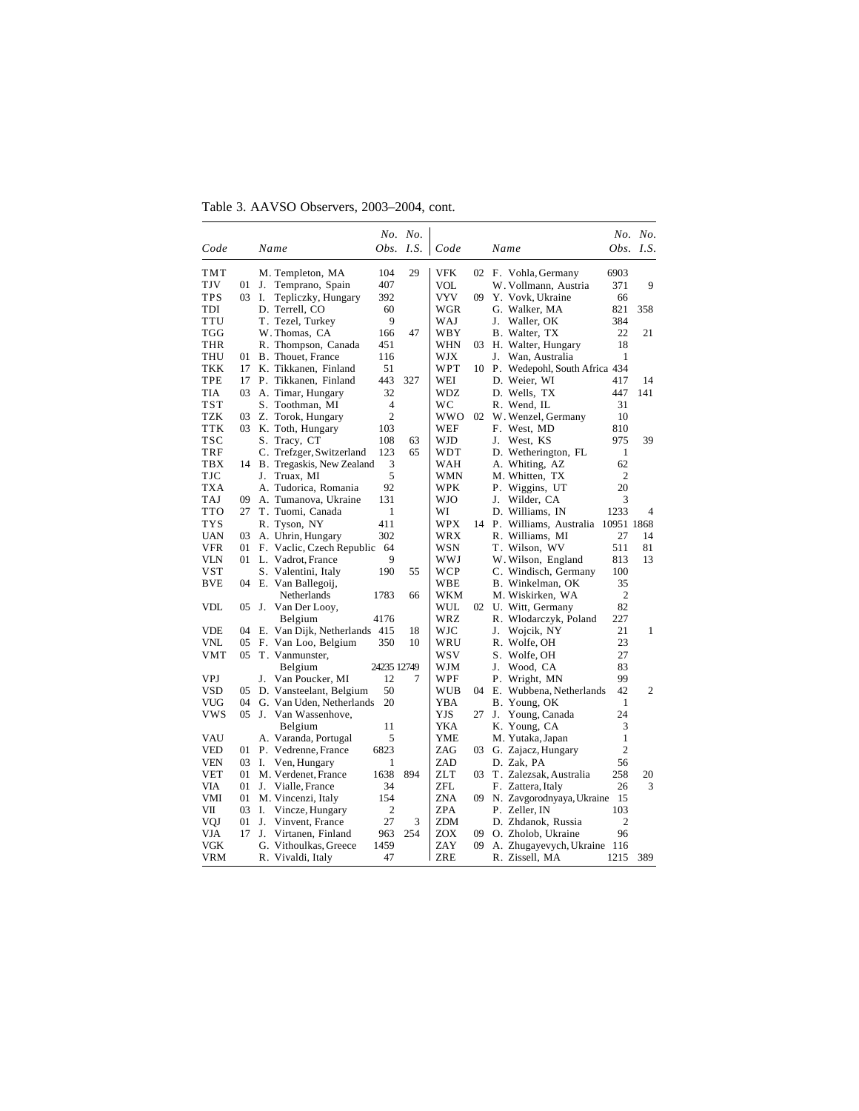Table 3. AAVSO Observers, 2003–2004, cont.

| Code         |    |                              |                | No. No.   |            |     |    |                                   |                | No. No.        |
|--------------|----|------------------------------|----------------|-----------|------------|-----|----|-----------------------------------|----------------|----------------|
|              |    | Name                         |                | Obs. I.S. | Code       |     |    | Name                              |                | Obs. $I.S.$    |
| TMT          |    | M. Templeton, MA             | 104            | 29        | <b>VFK</b> | 02  |    | F. Vohla, Germany                 | 6903           |                |
| TJV          | 01 | Temprano, Spain<br>J.        | 407            |           | VOL        |     |    | W. Vollmann, Austria              | 371            | 9              |
| <b>TPS</b>   | 03 | Ι.<br>Tepliczky, Hungary     | 392            |           | VYV        | 09  |    | Y. Vovk, Ukraine                  | 66             |                |
| TDI          |    | D. Terrell, CO               | 60             |           | WGR        |     |    | G. Walker, MA                     | 821            | 358            |
| <b>TTU</b>   |    | T. Tezel, Turkey             | 9              |           | WAJ        |     | J. | Waller, OK                        | 384            |                |
| TGG          |    | W. Thomas, CA                | 166            | 47        | WBY        |     |    | B. Walter, TX                     | 22             | 21             |
| THR          |    | R. Thompson, Canada          | 451            |           | WHN        | 03  |    | H. Walter, Hungary                | 18             |                |
| THU          | 01 | B. Thouet, France            | 116            |           | WJX        |     |    | J. Wan, Australia                 | 1              |                |
| <b>TKK</b>   | 17 | K. Tikkanen, Finland         | 51             |           | WPT        | 10  |    | P. Wedepohl, South Africa 434     |                |                |
| TPE          | 17 | P. Tikkanen, Finland         | 443            | 327       | WEI        |     |    | D. Weier, WI                      | 417            | 14             |
| TIA          | 03 | A. Timar, Hungary            | 32             |           | WDZ        |     |    | D. Wells, TX                      | 447            | 141            |
| $_{\rm TST}$ |    | S. Toothman, MI              | $\overline{4}$ |           | wс         |     |    | R. Wend, IL                       | 31             |                |
| <b>TZK</b>   | 03 | Z. Torok, Hungary            | $\overline{c}$ |           | wwo        | 02  |    | W. Wenzel, Germany                | 10             |                |
| TTK          | 03 | K. Toth, Hungary             | 103            |           | WEF        |     |    | F. West, MD                       | 810            |                |
| <b>TSC</b>   |    | S. Tracy, CT                 | 108            | 63        | WJD        |     | J. | West, KS                          | 975            | 39             |
| TRF          |    | C. Trefzger, Switzerland     | 123            | 65        | WDT        |     |    | D. Wetherington, FL               | 1              |                |
| <b>TBX</b>   |    | 14 B. Tregaskis, New Zealand | 3              |           | WAH        |     |    | A. Whiting, AZ                    | 62             |                |
| TJC          |    | Truax, MI<br>J.              | 5              |           | WMN        |     |    | M. Whitten, TX                    | 2              |                |
| TXA          |    | A. Tudorica, Romania         | 92             |           | WPK        |     |    | P. Wiggins, UT                    | 20             |                |
| TAJ          | 09 | A. Tumanova, Ukraine         | 131            |           | WJO        |     | J. | Wilder, CA                        | 3              |                |
| <b>TTO</b>   | 27 | T. Tuomi, Canada             | 1              |           | WI         |     |    | D. Williams, IN                   | 1233           | $\overline{4}$ |
| <b>TYS</b>   |    | R. Tyson, NY                 | 411            |           | WPX        | 14  |    | P. Williams, Australia 10951 1868 |                |                |
| <b>UAN</b>   | 03 | A. Uhrin, Hungary            | 302            |           | WRX        |     |    | R. Williams, MI                   | 27             | 14             |
| VFR          | 01 | F. Vaclic, Czech Republic    | 64             |           | <b>WSN</b> |     |    | T. Wilson, WV                     | 511            | 81             |
| VLN          | 01 | L. Vadrot, France            | 9              |           | WWJ        |     |    | W. Wilson, England                | 813            | 13             |
| <b>VST</b>   |    | S. Valentini, Italy          | 190            | 55        | WCP        |     |    | C. Windisch, Germany              | 100            |                |
| <b>BVE</b>   | 04 | E. Van Ballegoij,            |                |           | WBE        |     |    | B. Winkelman, OK                  | 35             |                |
|              |    | Netherlands                  | 1783           | 66        | WKM        |     |    | M. Wiskirken, WA                  | $\overline{2}$ |                |
| <b>VDL</b>   | 05 | J. Van Der Looy,             |                |           | WUL        |     |    | 02 U. Witt, Germany               | 82             |                |
|              |    | Belgium                      | 4176           |           | WRZ.       |     |    | R. Wlodarczyk, Poland             | 227            |                |
| VDE          | 04 | E. Van Dijk, Netherlands 415 |                | 18        | WJC        |     | J. | Wojcik, NY                        | 21             | 1              |
| VNL          | 05 | F. Van Loo, Belgium          | 350            | 10        | WRU        |     |    | R. Wolfe, OH                      | 23             |                |
| VMT          | 05 | T. Vanmunster,               |                |           | wsv        |     |    | S. Wolfe, OH                      | 27             |                |
|              |    | Belgium                      | 24235 12749    |           | WJM        |     | J. | Wood, CA                          | 83             |                |
| VPJ          |    | J.<br>Van Poucker, MI        | 12             | 7         | WPF        |     |    | P. Wright, MN                     | 99             |                |
| VSD          | 05 | D. Vansteelant, Belgium      | 50             |           | WUB        | 04  |    | E. Wubbena, Netherlands           | 42             | $\overline{c}$ |
| VUG          | 04 | G. Van Uden, Netherlands     | 20             |           | <b>YBA</b> |     |    | B. Young, OK                      | 1              |                |
| vws          | 05 | Van Wassenhove,<br>J.        |                |           | YJS        | 27  | J. | Young, Canada                     | 24             |                |
|              |    | Belgium                      | 11             |           | YKA        |     |    | K. Young, CA                      | 3              |                |
| VAU          |    | A. Varanda, Portugal         | 5              |           | YME        |     |    | M. Yutaka, Japan                  | $\mathbf{1}$   |                |
| VED          | 01 | P. Vedrenne, France          | 6823           |           | ZAG        | 03. |    | G. Zajacz, Hungary                | $\overline{2}$ |                |
| VEN          | 03 | Ven, Hungary<br>I.           | 1              |           | ZAD        |     |    | D. Zak, PA                        | 56             |                |
| <b>VET</b>   | 01 | M. Verdenet, France          | 1638           | 894       | <b>ZLT</b> | 03  |    | T. Zalezsak, Australia            | 258            | 20             |
| VIA          | 01 | J. Vialle, France            | 34             |           | ZFL        |     |    | F. Zattera, Italy                 | 26             | 3              |
| VMI          | 01 | M. Vincenzi, Italy           | 154            |           | <b>ZNA</b> | 09  |    | N. Zavgorodnyaya, Ukraine         | 15             |                |
| VII          | 03 | I.<br>Vincze, Hungary        | $\overline{2}$ |           | ZPA        |     |    | P. Zeller. IN                     | 103            |                |
| VQJ          | 01 | J.<br>Vinvent, France        | 27             | 3         | <b>ZDM</b> |     |    | D. Zhdanok, Russia                | 2              |                |
| VJA          | 17 | J.<br>Virtanen, Finland      | 963            | 254       | ZOX        | 09  |    | O. Zholob, Ukraine                | 96             |                |
| VGK          |    | G. Vithoulkas, Greece        | 1459           |           | ZAY        | 09  |    | A. Zhugayevych, Ukraine 116       |                |                |
| VRM          |    | R. Vivaldi, Italy            | 47             |           | ZRE        |     |    | R. Zissell, MA                    | 1215           | 389            |